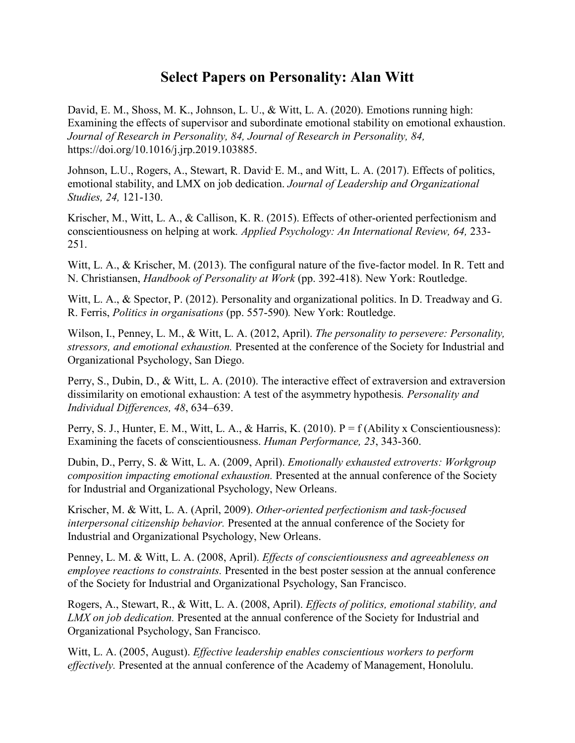## **Select Papers on Personality: Alan Witt**

David, E. M., Shoss, M. K., Johnson, L. U., & Witt, L. A. (2020). Emotions running high: Examining the effects of supervisor and subordinate emotional stability on emotional exhaustion. *Journal of Research in Personality, 84, Journal of Research in Personality, 84,*  [https://doi.org/10.1016/j.jrp.2019.103885.](about:blank)

Johnson, L.U., Rogers, A., Stewart, R. David<sup>,</sup> E. M., and Witt, L. A. (2017). Effects of politics, emotional stability, and LMX on job dedication. *Journal of Leadership and Organizational Studies, 24,* 121-130.

Krischer, M., Witt, L. A., & Callison, K. R. (2015). Effects of other-oriented perfectionism and conscientiousness on helping at work*. Applied Psychology: An International Review, 64,* 233- 251.

Witt, L. A., & Krischer, M. (2013). The configural nature of the five-factor model. In R. Tett and N. Christiansen, *Handbook of Personality at Work* (pp. 392-418). New York: Routledge.

Witt, L. A., & Spector, P. (2012). Personality and organizational politics. In D. Treadway and G. R. Ferris, *Politics in organisations* (pp. 557-590)*.* New York: Routledge.

Wilson, I., Penney, L. M., & Witt, L. A. (2012, April). *The personality to persevere: Personality, stressors, and emotional exhaustion.* Presented at the conference of the Society for Industrial and Organizational Psychology, San Diego.

Perry, S., Dubin, D., & Witt, L. A. (2010). The interactive effect of extraversion and extraversion dissimilarity on emotional exhaustion: A test of the asymmetry hypothesis*. Personality and Individual Differences, 48*, 634–639.

Perry, S. J., Hunter, E. M., Witt, L. A., & Harris, K. (2010).  $P = f$  (Ability x Conscientiousness): Examining the facets of conscientiousness. *Human Performance, 23*, 343-360.

Dubin, D., Perry, S. & Witt, L. A. (2009, April). *Emotionally exhausted extroverts: Workgroup composition impacting emotional exhaustion.* Presented at the annual conference of the Society for Industrial and Organizational Psychology, New Orleans.

Krischer, M. & Witt, L. A. (April, 2009). *Other-oriented perfectionism and task-focused interpersonal citizenship behavior.* Presented at the annual conference of the Society for Industrial and Organizational Psychology, New Orleans.

Penney, L. M. & Witt, L. A. (2008, April). *Effects of conscientiousness and agreeableness on employee reactions to constraints.* Presented in the best poster session at the annual conference of the Society for Industrial and Organizational Psychology, San Francisco.

Rogers, A., Stewart, R., & Witt, L. A. (2008, April). *Effects of politics, emotional stability, and LMX on job dedication.* Presented at the annual conference of the Society for Industrial and Organizational Psychology, San Francisco.

Witt, L. A. (2005, August). *Effective leadership enables conscientious workers to perform effectively.* Presented at the annual conference of the Academy of Management, Honolulu.